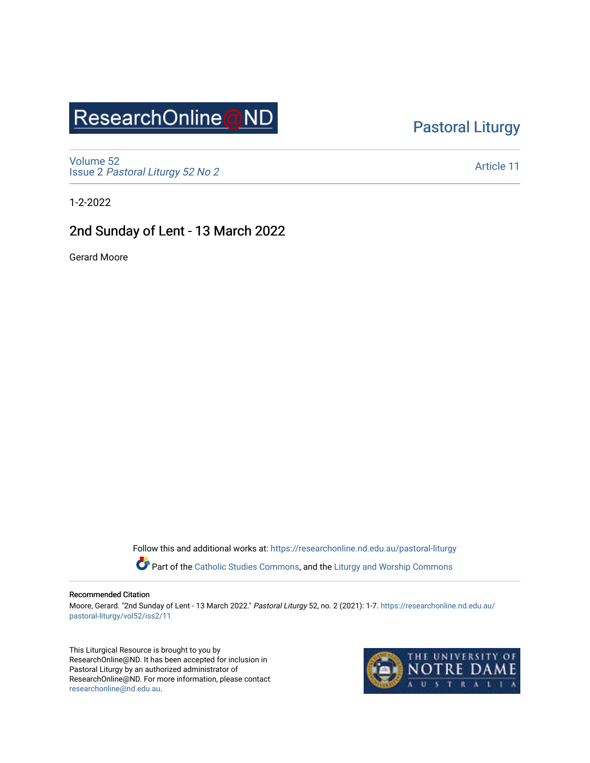# ResearchOnline@ND

## [Pastoral Liturgy](https://researchonline.nd.edu.au/pastoral-liturgy)

[Volume 52](https://researchonline.nd.edu.au/pastoral-liturgy/vol52) Issue 2 [Pastoral Liturgy 52 No 2](https://researchonline.nd.edu.au/pastoral-liturgy/vol52/iss2)

[Article 11](https://researchonline.nd.edu.au/pastoral-liturgy/vol52/iss2/11) 

1-2-2022

### 2nd Sunday of Lent - 13 March 2022

Gerard Moore

Follow this and additional works at: [https://researchonline.nd.edu.au/pastoral-liturgy](https://researchonline.nd.edu.au/pastoral-liturgy?utm_source=researchonline.nd.edu.au%2Fpastoral-liturgy%2Fvol52%2Fiss2%2F11&utm_medium=PDF&utm_campaign=PDFCoverPages)

Part of the [Catholic Studies Commons,](http://network.bepress.com/hgg/discipline/1294?utm_source=researchonline.nd.edu.au%2Fpastoral-liturgy%2Fvol52%2Fiss2%2F11&utm_medium=PDF&utm_campaign=PDFCoverPages) and the Liturgy and Worship Commons

#### Recommended Citation

Moore, Gerard. "2nd Sunday of Lent - 13 March 2022." Pastoral Liturgy 52, no. 2 (2021): 1-7. [https://researchonline.nd.edu.au/](https://researchonline.nd.edu.au/pastoral-liturgy/vol52/iss2/11?utm_source=researchonline.nd.edu.au%2Fpastoral-liturgy%2Fvol52%2Fiss2%2F11&utm_medium=PDF&utm_campaign=PDFCoverPages) [pastoral-liturgy/vol52/iss2/11](https://researchonline.nd.edu.au/pastoral-liturgy/vol52/iss2/11?utm_source=researchonline.nd.edu.au%2Fpastoral-liturgy%2Fvol52%2Fiss2%2F11&utm_medium=PDF&utm_campaign=PDFCoverPages) 

This Liturgical Resource is brought to you by ResearchOnline@ND. It has been accepted for inclusion in Pastoral Liturgy by an authorized administrator of ResearchOnline@ND. For more information, please contact [researchonline@nd.edu.au.](mailto:researchonline@nd.edu.au)

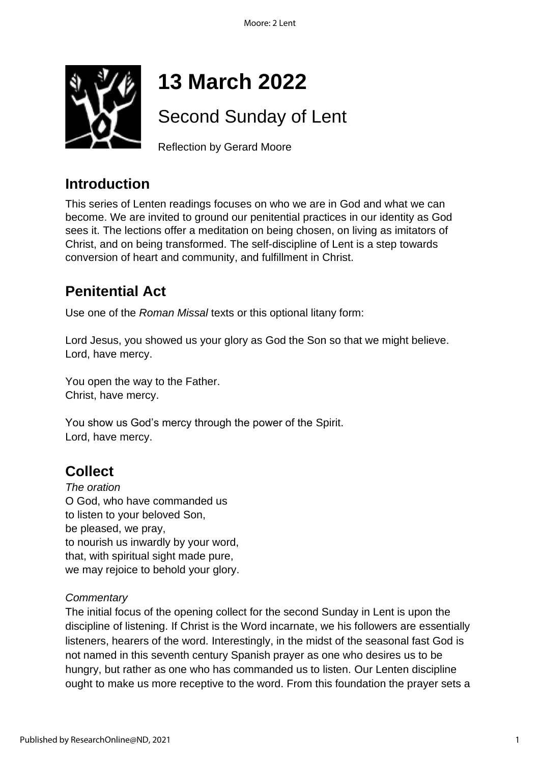

# **13 March 2022**

# Second Sunday of Lent

Reflection by Gerard Moore

# **Introduction**

This series of Lenten readings focuses on who we are in God and what we can become. We are invited to ground our penitential practices in our identity as God sees it. The lections offer a meditation on being chosen, on living as imitators of Christ, and on being transformed. The self-discipline of Lent is a step towards conversion of heart and community, and fulfillment in Christ.

# **Penitential Act**

Use one of the *Roman Missal* texts or this optional litany form:

Lord Jesus, you showed us your glory as God the Son so that we might believe. Lord, have mercy.

You open the way to the Father. Christ, have mercy.

You show us God's mercy through the power of the Spirit. Lord, have mercy.

# **Collect**

*The oration* O God, who have commanded us to listen to your beloved Son, be pleased, we pray, to nourish us inwardly by your word, that, with spiritual sight made pure, we may rejoice to behold your glory.

### *Commentary*

The initial focus of the opening collect for the second Sunday in Lent is upon the discipline of listening. If Christ is the Word incarnate, we his followers are essentially listeners, hearers of the word. Interestingly, in the midst of the seasonal fast God is not named in this seventh century Spanish prayer as one who desires us to be hungry, but rather as one who has commanded us to listen. Our Lenten discipline ought to make us more receptive to the word. From this foundation the prayer sets a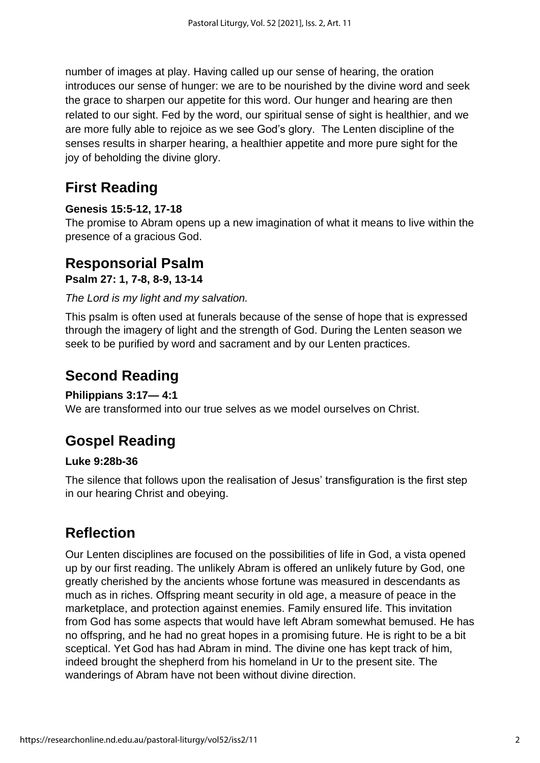number of images at play. Having called up our sense of hearing, the oration introduces our sense of hunger: we are to be nourished by the divine word and seek the grace to sharpen our appetite for this word. Our hunger and hearing are then related to our sight. Fed by the word, our spiritual sense of sight is healthier, and we are more fully able to rejoice as we see God's glory. The Lenten discipline of the senses results in sharper hearing, a healthier appetite and more pure sight for the joy of beholding the divine glory.

# **First Reading**

### **Genesis 15:5-12, 17-18**

The promise to Abram opens up a new imagination of what it means to live within the presence of a gracious God.

## **Responsorial Psalm**

**Psalm 27: 1, 7-8, 8-9, 13-14**

*The Lord is my light and my salvation.*

This psalm is often used at funerals because of the sense of hope that is expressed through the imagery of light and the strength of God. During the Lenten season we seek to be purified by word and sacrament and by our Lenten practices.

# **Second Reading**

### **Philippians 3:17— 4:1**

We are transformed into our true selves as we model ourselves on Christ.

# **Gospel Reading**

### **Luke 9:28b-36**

The silence that follows upon the realisation of Jesus' transfiguration is the first step in our hearing Christ and obeying.

# **Reflection**

Our Lenten disciplines are focused on the possibilities of life in God, a vista opened up by our first reading. The unlikely Abram is offered an unlikely future by God, one greatly cherished by the ancients whose fortune was measured in descendants as much as in riches. Offspring meant security in old age, a measure of peace in the marketplace, and protection against enemies. Family ensured life. This invitation from God has some aspects that would have left Abram somewhat bemused. He has no offspring, and he had no great hopes in a promising future. He is right to be a bit sceptical. Yet God has had Abram in mind. The divine one has kept track of him, indeed brought the shepherd from his homeland in Ur to the present site. The wanderings of Abram have not been without divine direction.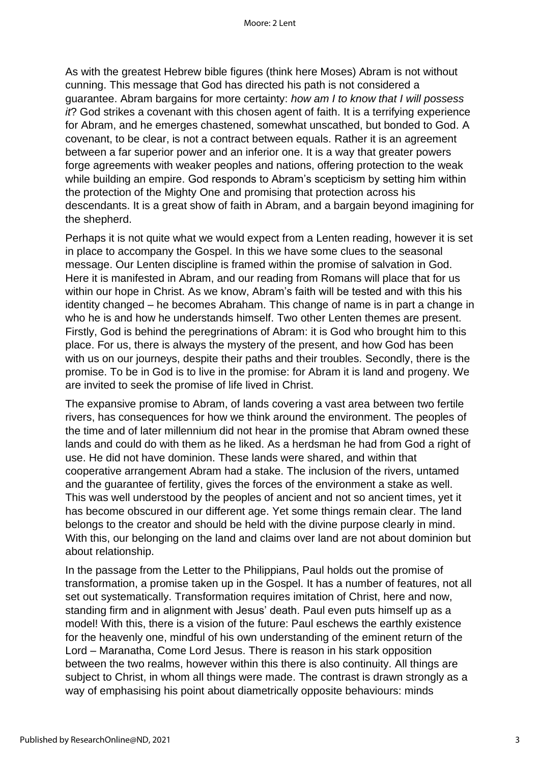As with the greatest Hebrew bible figures (think here Moses) Abram is not without cunning. This message that God has directed his path is not considered a guarantee. Abram bargains for more certainty: *how am I to know that I will possess it*? God strikes a covenant with this chosen agent of faith. It is a terrifying experience for Abram, and he emerges chastened, somewhat unscathed, but bonded to God. A covenant, to be clear, is not a contract between equals. Rather it is an agreement between a far superior power and an inferior one. It is a way that greater powers forge agreements with weaker peoples and nations, offering protection to the weak while building an empire. God responds to Abram's scepticism by setting him within the protection of the Mighty One and promising that protection across his descendants. It is a great show of faith in Abram, and a bargain beyond imagining for the shepherd.

Perhaps it is not quite what we would expect from a Lenten reading, however it is set in place to accompany the Gospel. In this we have some clues to the seasonal message. Our Lenten discipline is framed within the promise of salvation in God. Here it is manifested in Abram, and our reading from Romans will place that for us within our hope in Christ. As we know, Abram's faith will be tested and with this his identity changed – he becomes Abraham. This change of name is in part a change in who he is and how he understands himself. Two other Lenten themes are present. Firstly, God is behind the peregrinations of Abram: it is God who brought him to this place. For us, there is always the mystery of the present, and how God has been with us on our journeys, despite their paths and their troubles. Secondly, there is the promise. To be in God is to live in the promise: for Abram it is land and progeny. We are invited to seek the promise of life lived in Christ.

The expansive promise to Abram, of lands covering a vast area between two fertile rivers, has consequences for how we think around the environment. The peoples of the time and of later millennium did not hear in the promise that Abram owned these lands and could do with them as he liked. As a herdsman he had from God a right of use. He did not have dominion. These lands were shared, and within that cooperative arrangement Abram had a stake. The inclusion of the rivers, untamed and the guarantee of fertility, gives the forces of the environment a stake as well. This was well understood by the peoples of ancient and not so ancient times, yet it has become obscured in our different age. Yet some things remain clear. The land belongs to the creator and should be held with the divine purpose clearly in mind. With this, our belonging on the land and claims over land are not about dominion but about relationship.

In the passage from the Letter to the Philippians, Paul holds out the promise of transformation, a promise taken up in the Gospel. It has a number of features, not all set out systematically. Transformation requires imitation of Christ, here and now, standing firm and in alignment with Jesus' death. Paul even puts himself up as a model! With this, there is a vision of the future: Paul eschews the earthly existence for the heavenly one, mindful of his own understanding of the eminent return of the Lord – Maranatha, Come Lord Jesus. There is reason in his stark opposition between the two realms, however within this there is also continuity. All things are subject to Christ, in whom all things were made. The contrast is drawn strongly as a way of emphasising his point about diametrically opposite behaviours: minds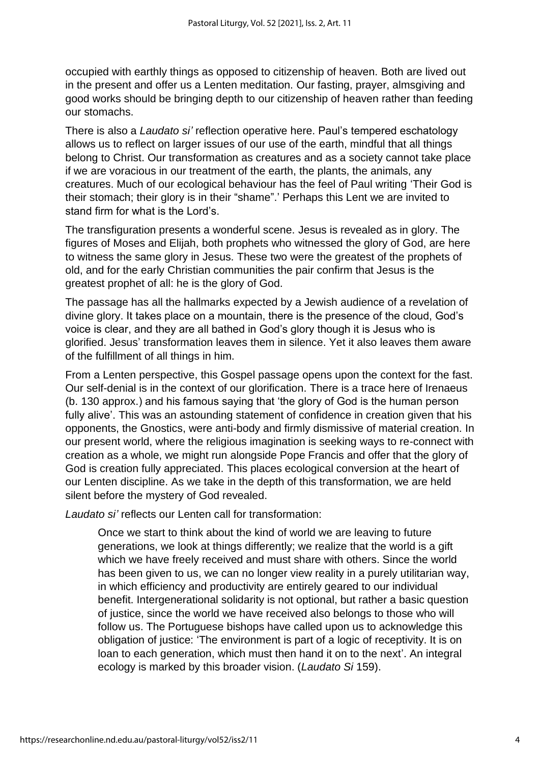occupied with earthly things as opposed to citizenship of heaven. Both are lived out in the present and offer us a Lenten meditation. Our fasting, prayer, almsgiving and good works should be bringing depth to our citizenship of heaven rather than feeding our stomachs.

There is also a *Laudato si'* reflection operative here. Paul's tempered eschatology allows us to reflect on larger issues of our use of the earth, mindful that all things belong to Christ. Our transformation as creatures and as a society cannot take place if we are voracious in our treatment of the earth, the plants, the animals, any creatures. Much of our ecological behaviour has the feel of Paul writing 'Their God is their stomach; their glory is in their "shame".' Perhaps this Lent we are invited to stand firm for what is the Lord's.

The transfiguration presents a wonderful scene. Jesus is revealed as in glory. The figures of Moses and Elijah, both prophets who witnessed the glory of God, are here to witness the same glory in Jesus. These two were the greatest of the prophets of old, and for the early Christian communities the pair confirm that Jesus is the greatest prophet of all: he is the glory of God.

The passage has all the hallmarks expected by a Jewish audience of a revelation of divine glory. It takes place on a mountain, there is the presence of the cloud, God's voice is clear, and they are all bathed in God's glory though it is Jesus who is glorified. Jesus' transformation leaves them in silence. Yet it also leaves them aware of the fulfillment of all things in him.

From a Lenten perspective, this Gospel passage opens upon the context for the fast. Our self-denial is in the context of our glorification. There is a trace here of Irenaeus (b. 130 approx.) and his famous saying that 'the glory of God is the human person fully alive'. This was an astounding statement of confidence in creation given that his opponents, the Gnostics, were anti-body and firmly dismissive of material creation. In our present world, where the religious imagination is seeking ways to re-connect with creation as a whole, we might run alongside Pope Francis and offer that the glory of God is creation fully appreciated. This places ecological conversion at the heart of our Lenten discipline. As we take in the depth of this transformation, we are held silent before the mystery of God revealed.

*Laudato si'* reflects our Lenten call for transformation:

Once we start to think about the kind of world we are leaving to future generations, we look at things differently; we realize that the world is a gift which we have freely received and must share with others. Since the world has been given to us, we can no longer view reality in a purely utilitarian way, in which efficiency and productivity are entirely geared to our individual benefit. Intergenerational solidarity is not optional, but rather a basic question of justice, since the world we have received also belongs to those who will follow us. The Portuguese bishops have called upon us to acknowledge this obligation of justice: 'The environment is part of a logic of receptivity. It is on loan to each generation, which must then hand it on to the next'. An integral ecology is marked by this broader vision. (*Laudato Si* 159).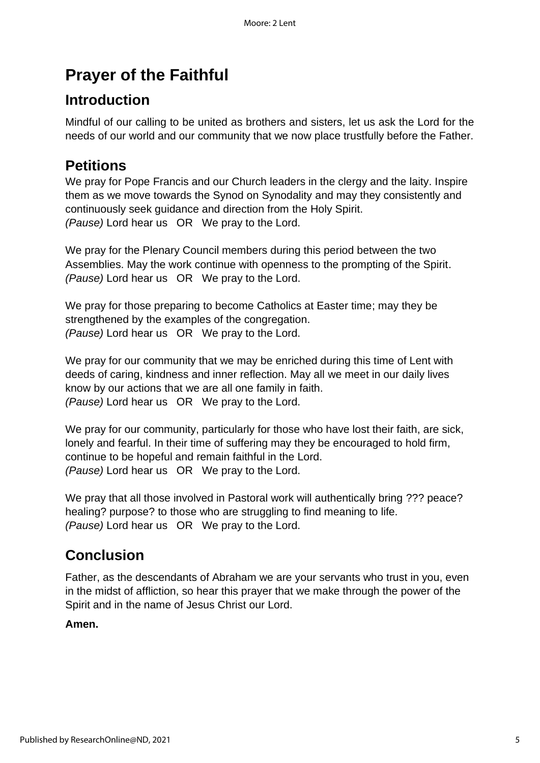# **Prayer of the Faithful**

# **Introduction**

Mindful of our calling to be united as brothers and sisters, let us ask the Lord for the needs of our world and our community that we now place trustfully before the Father.

# **Petitions**

We pray for Pope Francis and our Church leaders in the clergy and the laity. Inspire them as we move towards the Synod on Synodality and may they consistently and continuously seek guidance and direction from the Holy Spirit. *(Pause)* Lord hear us OR We pray to the Lord.

We pray for the Plenary Council members during this period between the two Assemblies. May the work continue with openness to the prompting of the Spirit. *(Pause)* Lord hear us OR We pray to the Lord.

We pray for those preparing to become Catholics at Easter time; may they be strengthened by the examples of the congregation. *(Pause)* Lord hear us OR We pray to the Lord.

We pray for our community that we may be enriched during this time of Lent with deeds of caring, kindness and inner reflection. May all we meet in our daily lives know by our actions that we are all one family in faith. *(Pause)* Lord hear us OR We pray to the Lord.

We pray for our community, particularly for those who have lost their faith, are sick, lonely and fearful. In their time of suffering may they be encouraged to hold firm, continue to be hopeful and remain faithful in the Lord. *(Pause)* Lord hear us OR We pray to the Lord.

We pray that all those involved in Pastoral work will authentically bring ??? peace? healing? purpose? to those who are struggling to find meaning to life. *(Pause)* Lord hear us OR We pray to the Lord.

# **Conclusion**

Father, as the descendants of Abraham we are your servants who trust in you, even in the midst of affliction, so hear this prayer that we make through the power of the Spirit and in the name of Jesus Christ our Lord.

### **Amen.**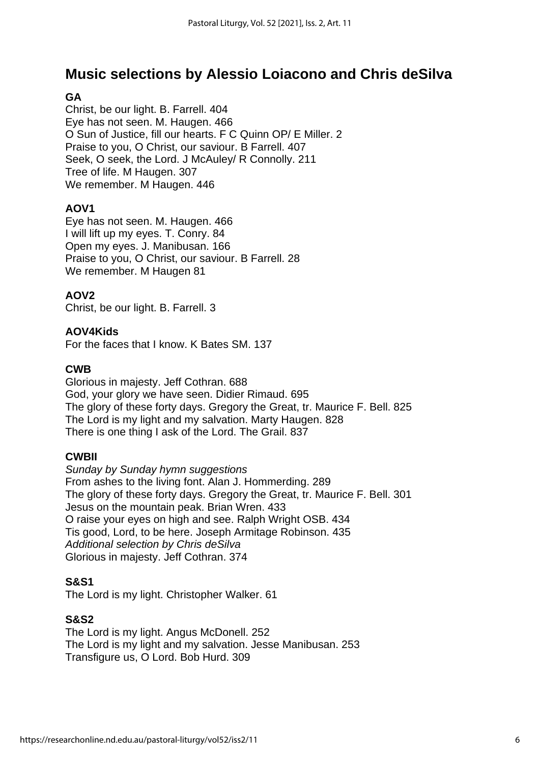### **Music selections by Alessio Loiacono and Chris deSilva**

### **GA**

Christ, be our light. B. Farrell. 404 Eye has not seen. M. Haugen. 466 O Sun of Justice, fill our hearts. F C Quinn OP/ E Miller. 2 Praise to you, O Christ, our saviour. B Farrell. 407 Seek, O seek, the Lord. J McAuley/ R Connolly. 211 Tree of life. M Haugen. 307 We remember. M Haugen. 446

### **AOV1**

Eye has not seen. M. Haugen. 466 I will lift up my eyes. T. Conry. 84 Open my eyes. J. Manibusan. 166 Praise to you, O Christ, our saviour. B Farrell. 28 We remember. M Haugen 81

### **AOV2**

Christ, be our light. B. Farrell. 3

### **AOV4Kids**

For the faces that I know. K Bates SM. 137

#### **CWB**

Glorious in majesty. Jeff Cothran. 688 God, your glory we have seen. Didier Rimaud. 695 The glory of these forty days. Gregory the Great, tr. Maurice F. Bell. 825 The Lord is my light and my salvation. Marty Haugen. 828 There is one thing I ask of the Lord. The Grail. 837

### **CWBII**

*Sunday by Sunday hymn suggestions* From ashes to the living font. Alan J. Hommerding. 289 The glory of these forty days. Gregory the Great, tr. Maurice F. Bell. 301 Jesus on the mountain peak. Brian Wren. 433 O raise your eyes on high and see. Ralph Wright OSB. 434 Tis good, Lord, to be here. Joseph Armitage Robinson. 435 *Additional selection by Chris deSilva* Glorious in majesty. Jeff Cothran. 374

### **S&S1**

The Lord is my light. Christopher Walker. 61

### **S&S2**

The Lord is my light. Angus McDonell. 252 The Lord is my light and my salvation. Jesse Manibusan. 253 Transfigure us, O Lord. Bob Hurd. 309